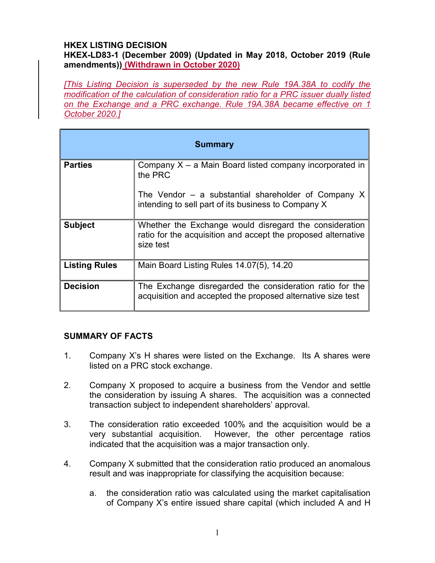# HKEX LISTING DECISION

HKEX-LD83-1 (December 2009) (Updated in May 2018, October 2019 (Rule amendments)) (Withdrawn in October 2020)

[This Listing Decision is superseded by the new Rule 19A.38A to codify the modification of the calculation of consideration ratio for a PRC issuer dually listed on the Exchange and a PRC exchange. Rule 19A.38A became effective on 1 October 2020.]

| <b>Summary</b>       |                                                                                                                                      |
|----------------------|--------------------------------------------------------------------------------------------------------------------------------------|
| <b>Parties</b>       | Company $X - a$ Main Board listed company incorporated in<br>the PRC                                                                 |
|                      | The Vendor $-$ a substantial shareholder of Company X<br>intending to sell part of its business to Company X                         |
| <b>Subject</b>       | Whether the Exchange would disregard the consideration<br>ratio for the acquisition and accept the proposed alternative<br>size test |
| <b>Listing Rules</b> | Main Board Listing Rules 14.07(5), 14.20                                                                                             |
| <b>Decision</b>      | The Exchange disregarded the consideration ratio for the<br>acquisition and accepted the proposed alternative size test              |

#### SUMMARY OF FACTS

- 1. Company X's H shares were listed on the Exchange. Its A shares were listed on a PRC stock exchange.
- 2. Company X proposed to acquire a business from the Vendor and settle the consideration by issuing A shares. The acquisition was a connected transaction subject to independent shareholders' approval.
- 3. The consideration ratio exceeded 100% and the acquisition would be a very substantial acquisition. However, the other percentage ratios indicated that the acquisition was a major transaction only.
- 4. Company X submitted that the consideration ratio produced an anomalous result and was inappropriate for classifying the acquisition because:
	- a. the consideration ratio was calculated using the market capitalisation of Company X's entire issued share capital (which included A and H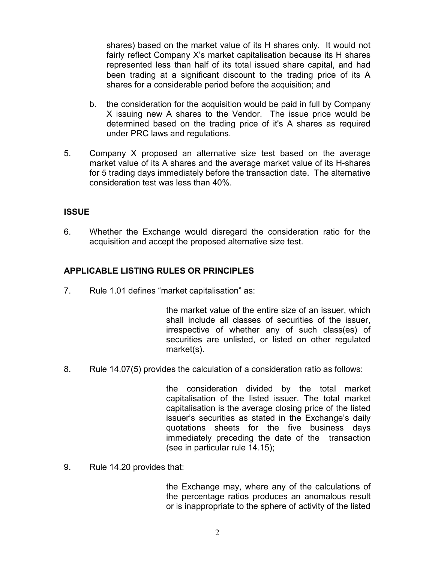shares) based on the market value of its H shares only. It would not fairly reflect Company X's market capitalisation because its H shares represented less than half of its total issued share capital, and had been trading at a significant discount to the trading price of its A shares for a considerable period before the acquisition; and

- b. the consideration for the acquisition would be paid in full by Company X issuing new A shares to the Vendor. The issue price would be determined based on the trading price of it's A shares as required under PRC laws and regulations.
- 5. Company X proposed an alternative size test based on the average market value of its A shares and the average market value of its H-shares for 5 trading days immediately before the transaction date. The alternative consideration test was less than 40%.

## **ISSUE**

6. Whether the Exchange would disregard the consideration ratio for the acquisition and accept the proposed alternative size test.

## APPLICABLE LISTING RULES OR PRINCIPLES

7. Rule 1.01 defines "market capitalisation" as:

the market value of the entire size of an issuer, which shall include all classes of securities of the issuer, irrespective of whether any of such class(es) of securities are unlisted, or listed on other regulated market(s).

8. Rule 14.07(5) provides the calculation of a consideration ratio as follows:

the consideration divided by the total market capitalisation of the listed issuer. The total market capitalisation is the average closing price of the listed issuer's securities as stated in the Exchange's daily quotations sheets for the five business days immediately preceding the date of the transaction (see in particular rule 14.15);

9. Rule 14.20 provides that:

the Exchange may, where any of the calculations of the percentage ratios produces an anomalous result or is inappropriate to the sphere of activity of the listed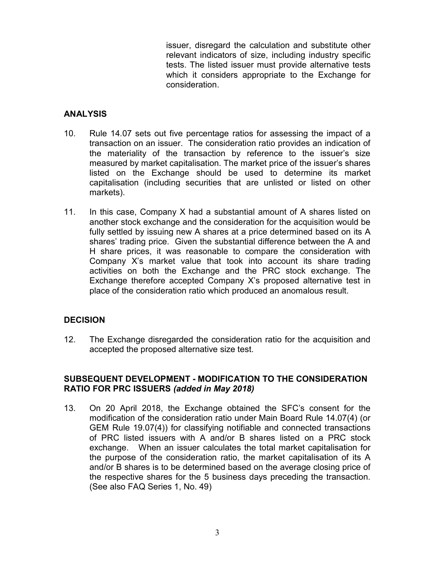issuer, disregard the calculation and substitute other relevant indicators of size, including industry specific tests. The listed issuer must provide alternative tests which it considers appropriate to the Exchange for consideration.

### **ANALYSIS**

- 10. Rule 14.07 sets out five percentage ratios for assessing the impact of a transaction on an issuer. The consideration ratio provides an indication of the materiality of the transaction by reference to the issuer's size measured by market capitalisation. The market price of the issuer's shares listed on the Exchange should be used to determine its market capitalisation (including securities that are unlisted or listed on other markets).
- 11. In this case, Company X had a substantial amount of A shares listed on another stock exchange and the consideration for the acquisition would be fully settled by issuing new A shares at a price determined based on its A shares' trading price. Given the substantial difference between the A and H share prices, it was reasonable to compare the consideration with Company X's market value that took into account its share trading activities on both the Exchange and the PRC stock exchange. The Exchange therefore accepted Company X's proposed alternative test in place of the consideration ratio which produced an anomalous result.

#### **DECISION**

12. The Exchange disregarded the consideration ratio for the acquisition and accepted the proposed alternative size test.

#### SUBSEQUENT DEVELOPMENT - MODIFICATION TO THE CONSIDERATION RATIO FOR PRC ISSUERS (added in May 2018)

13. On 20 April 2018, the Exchange obtained the SFC's consent for the modification of the consideration ratio under Main Board Rule 14.07(4) (or GEM Rule 19.07(4)) for classifying notifiable and connected transactions of PRC listed issuers with A and/or B shares listed on a PRC stock exchange. When an issuer calculates the total market capitalisation for the purpose of the consideration ratio, the market capitalisation of its A and/or B shares is to be determined based on the average closing price of the respective shares for the 5 business days preceding the transaction. (See also FAQ Series 1, No. 49)